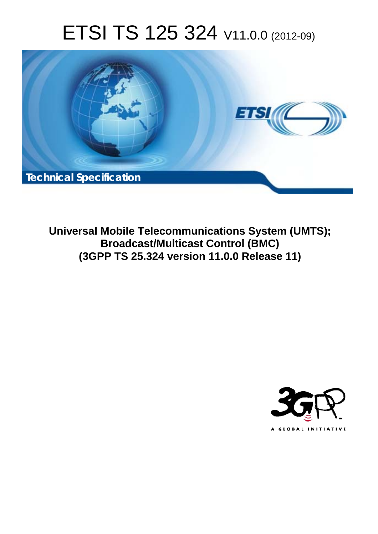# ETSI TS 125 324 V11.0.0 (2012-09)



**Universal Mobile Telecommunications System (UMTS); Broadcast/Multicast Control (BMC) (3GPP TS 25.324 version 11.0.0 Release 11)** 

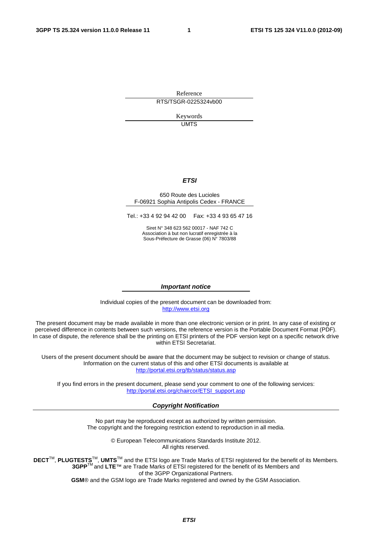Reference RTS/TSGR-0225324vb00

> Keywords UMTS

#### *ETSI*

#### 650 Route des Lucioles F-06921 Sophia Antipolis Cedex - FRANCE

Tel.: +33 4 92 94 42 00 Fax: +33 4 93 65 47 16

Siret N° 348 623 562 00017 - NAF 742 C Association à but non lucratif enregistrée à la Sous-Préfecture de Grasse (06) N° 7803/88

#### *Important notice*

Individual copies of the present document can be downloaded from: [http://www.etsi.org](http://www.etsi.org/)

The present document may be made available in more than one electronic version or in print. In any case of existing or perceived difference in contents between such versions, the reference version is the Portable Document Format (PDF). In case of dispute, the reference shall be the printing on ETSI printers of the PDF version kept on a specific network drive within ETSI Secretariat.

Users of the present document should be aware that the document may be subject to revision or change of status. Information on the current status of this and other ETSI documents is available at <http://portal.etsi.org/tb/status/status.asp>

If you find errors in the present document, please send your comment to one of the following services: [http://portal.etsi.org/chaircor/ETSI\\_support.asp](http://portal.etsi.org/chaircor/ETSI_support.asp)

#### *Copyright Notification*

No part may be reproduced except as authorized by written permission. The copyright and the foregoing restriction extend to reproduction in all media.

> © European Telecommunications Standards Institute 2012. All rights reserved.

DECT<sup>™</sup>, PLUGTESTS<sup>™</sup>, UMTS<sup>™</sup> and the ETSI logo are Trade Marks of ETSI registered for the benefit of its Members. **3GPP**TM and **LTE**™ are Trade Marks of ETSI registered for the benefit of its Members and of the 3GPP Organizational Partners.

**GSM**® and the GSM logo are Trade Marks registered and owned by the GSM Association.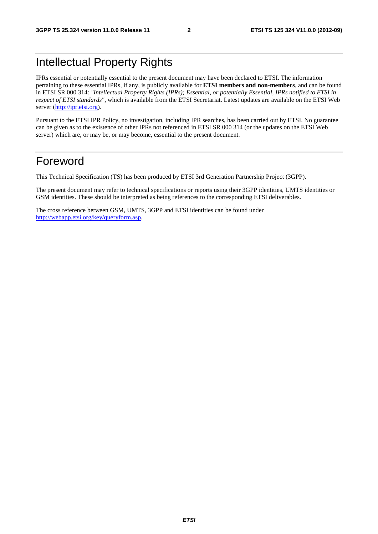# Intellectual Property Rights

IPRs essential or potentially essential to the present document may have been declared to ETSI. The information pertaining to these essential IPRs, if any, is publicly available for **ETSI members and non-members**, and can be found in ETSI SR 000 314: *"Intellectual Property Rights (IPRs); Essential, or potentially Essential, IPRs notified to ETSI in respect of ETSI standards"*, which is available from the ETSI Secretariat. Latest updates are available on the ETSI Web server ([http://ipr.etsi.org\)](http://webapp.etsi.org/IPR/home.asp).

Pursuant to the ETSI IPR Policy, no investigation, including IPR searches, has been carried out by ETSI. No guarantee can be given as to the existence of other IPRs not referenced in ETSI SR 000 314 (or the updates on the ETSI Web server) which are, or may be, or may become, essential to the present document.

### Foreword

This Technical Specification (TS) has been produced by ETSI 3rd Generation Partnership Project (3GPP).

The present document may refer to technical specifications or reports using their 3GPP identities, UMTS identities or GSM identities. These should be interpreted as being references to the corresponding ETSI deliverables.

The cross reference between GSM, UMTS, 3GPP and ETSI identities can be found under [http://webapp.etsi.org/key/queryform.asp.](http://webapp.etsi.org/key/queryform.asp)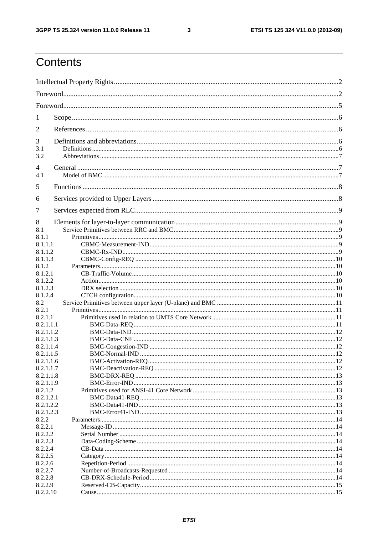$\mathbf{3}$ 

# Contents

| 1                      |  |
|------------------------|--|
| 2                      |  |
| 3                      |  |
| 3.1<br>3.2             |  |
| 4                      |  |
| 4.1                    |  |
| 5                      |  |
| 6                      |  |
| 7                      |  |
| 8                      |  |
| 8.1                    |  |
| 8.1.1                  |  |
| 8.1.1.1                |  |
| 8.1.1.2                |  |
| 8.1.1.3                |  |
| 8.1.2                  |  |
| 8.1.2.1                |  |
| 8.1.2.2                |  |
| 8.1.2.3                |  |
| 8.1.2.4                |  |
| 8.2                    |  |
| 8.2.1                  |  |
| 8.2.1.1                |  |
| 8.2.1.1.1              |  |
| 8.2.1.1.2              |  |
| 8.2.1.1.3              |  |
| 8.2.1.1.4              |  |
| 8.2.1.1.5              |  |
| 8.2.1.1.6              |  |
| 8.2.1.1.7              |  |
| 8.2.1.1.8<br>8.2.1.1.9 |  |
| 8.2.1.2                |  |
| 8.2.1.2.1              |  |
| 8.2.1.2.2              |  |
| 8.2.1.2.3              |  |
| 8.2.2                  |  |
| 8.2.2.1                |  |
| 8.2.2.2                |  |
| 8.2.2.3                |  |
| 8.2.2.4                |  |
| 8.2.2.5                |  |
| 8.2.2.6                |  |
| 8.2.2.7                |  |
| 8.2.2.8                |  |
| 8.2.2.9                |  |
| 8.2.2.10               |  |
|                        |  |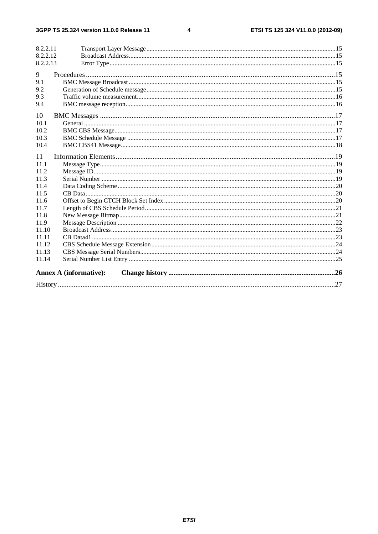#### $\overline{\mathbf{4}}$

| 8.2.2.11<br>8.2.2.12<br>8.2.2.13 |                               |  |
|----------------------------------|-------------------------------|--|
| 9                                |                               |  |
| 9.1                              |                               |  |
| 9.2                              |                               |  |
| 9.3                              |                               |  |
| 9.4                              |                               |  |
| 10                               |                               |  |
| 10.1                             |                               |  |
| 10.2                             |                               |  |
| 10.3                             |                               |  |
| 10.4                             |                               |  |
| 11                               |                               |  |
| 111                              |                               |  |
| 11.2                             |                               |  |
| 11.3                             |                               |  |
| 11.4                             |                               |  |
| 11.5                             |                               |  |
| 11.6                             |                               |  |
| 11.7                             |                               |  |
| 11.8                             |                               |  |
| 11.9                             |                               |  |
| 11.10                            |                               |  |
| 11.11                            |                               |  |
| 11.12                            |                               |  |
| 11.13                            |                               |  |
| 11.14                            |                               |  |
|                                  | <b>Annex A (informative):</b> |  |
|                                  |                               |  |
|                                  |                               |  |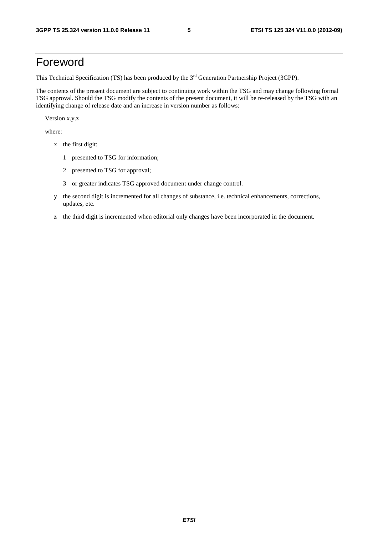### Foreword

This Technical Specification (TS) has been produced by the 3<sup>rd</sup> Generation Partnership Project (3GPP).

The contents of the present document are subject to continuing work within the TSG and may change following formal TSG approval. Should the TSG modify the contents of the present document, it will be re-released by the TSG with an identifying change of release date and an increase in version number as follows:

Version x.y.z

where:

- x the first digit:
	- 1 presented to TSG for information;
	- 2 presented to TSG for approval;
	- 3 or greater indicates TSG approved document under change control.
- y the second digit is incremented for all changes of substance, i.e. technical enhancements, corrections, updates, etc.
- z the third digit is incremented when editorial only changes have been incorporated in the document.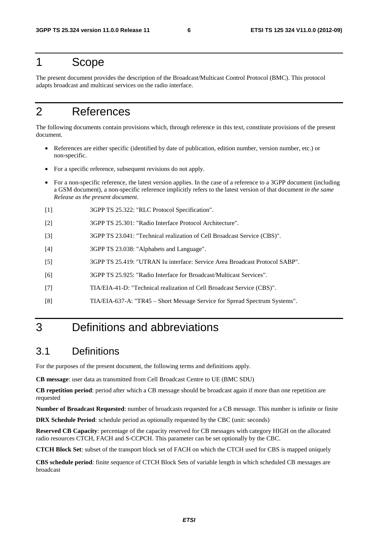### 1 Scope

The present document provides the description of the Broadcast/Multicast Control Protocol (BMC). This protocol adapts broadcast and multicast services on the radio interface.

# 2 References

The following documents contain provisions which, through reference in this text, constitute provisions of the present document.

- References are either specific (identified by date of publication, edition number, version number, etc.) or non-specific.
- For a specific reference, subsequent revisions do not apply.
- For a non-specific reference, the latest version applies. In the case of a reference to a 3GPP document (including a GSM document), a non-specific reference implicitly refers to the latest version of that document *in the same Release as the present document*.
- [1] 3GPP TS 25.322: "RLC Protocol Specification".
- [2] 3GPP TS 25.301: "Radio Interface Protocol Architecture".
- [3] 3GPP TS 23.041: "Technical realization of Cell Broadcast Service (CBS)".
- [4] 3GPP TS 23.038: "Alphabets and Language".
- [5] 3GPP TS 25.419: "UTRAN Iu interface: Service Area Broadcast Protocol SABP".
- [6] 3GPP TS 25.925: "Radio Interface for Broadcast/Multicast Services".
- [7] TIA/EIA-41-D: "Technical realization of Cell Broadcast Service (CBS)".
- [8] TIA/EIA-637-A: "TR45 Short Message Service for Spread Spectrum Systems".

### 3 Definitions and abbreviations

### 3.1 Definitions

For the purposes of the present document, the following terms and definitions apply.

**CB message**: user data as transmitted from Cell Broadcast Centre to UE (BMC SDU)

**CB repetition period**: period after which a CB message should be broadcast again if more than one repetition are requested

**Number of Broadcast Requested**: number of broadcasts requested for a CB message. This number is infinite or finite

**DRX Schedule Period**: schedule period as optionally requested by the CBC (unit: seconds)

**Reserved CB Capacity**: percentage of the capacity reserved for CB messages with category HIGH on the allocated radio resources CTCH, FACH and S-CCPCH. This parameter can be set optionally by the CBC.

**CTCH Block Set**: subset of the transport block set of FACH on which the CTCH used for CBS is mapped uniquely

**CBS schedule period**: finite sequence of CTCH Block Sets of variable length in which scheduled CB messages are broadcast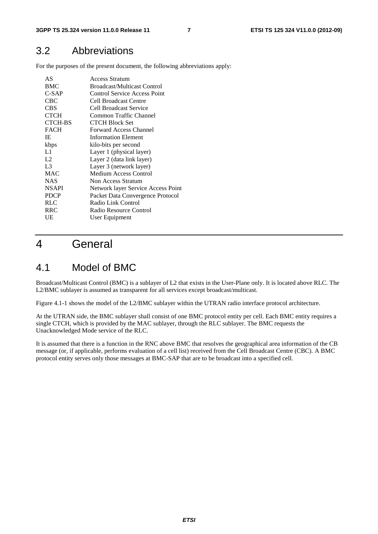### 3.2 Abbreviations

For the purposes of the present document, the following abbreviations apply:

| AS             | Access Stratum                     |
|----------------|------------------------------------|
| <b>BMC</b>     | <b>Broadcast/Multicast Control</b> |
| $C-SAP$        | Control Service Access Point       |
| CBC            | Cell Broadcast Centre              |
| <b>CBS</b>     | Cell Broadcast Service             |
| <b>CTCH</b>    | Common Traffic Channel             |
| <b>CTCH-BS</b> | <b>CTCH Block Set</b>              |
| <b>FACH</b>    | Forward Access Channel             |
| ΙE             | <b>Information Element</b>         |
| kbps           | kilo-bits per second               |
| L1.            | Layer 1 (physical layer)           |
| L2             | Layer 2 (data link layer)          |
| L <sub>3</sub> | Layer 3 (network layer)            |
| <b>MAC</b>     | Medium Access Control              |
| <b>NAS</b>     | Non Access Stratum                 |
| <b>NSAPI</b>   | Network layer Service Access Point |
| <b>PDCP</b>    | Packet Data Convergence Protocol   |
| <b>RLC</b>     | Radio Link Control                 |
| RRC            | Radio Resource Control             |
| UE             | User Equipment                     |
|                |                                    |

### 4 General

### 4.1 Model of BMC

Broadcast/Multicast Control (BMC) is a sublayer of L2 that exists in the User-Plane only. It is located above RLC. The L2/BMC sublayer is assumed as transparent for all services except broadcast/multicast.

Figure 4.1-1 shows the model of the L2/BMC sublayer within the UTRAN radio interface protocol architecture.

At the UTRAN side, the BMC sublayer shall consist of one BMC protocol entity per cell. Each BMC entity requires a single CTCH, which is provided by the MAC sublayer, through the RLC sublayer. The BMC requests the Unacknowledged Mode service of the RLC.

It is assumed that there is a function in the RNC above BMC that resolves the geographical area information of the CB message (or, if applicable, performs evaluation of a cell list) received from the Cell Broadcast Centre (CBC). A BMC protocol entity serves only those messages at BMC-SAP that are to be broadcast into a specified cell.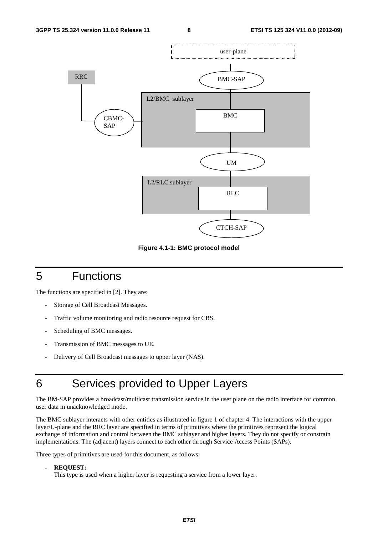

**Figure 4.1-1: BMC protocol model** 

# 5 Functions

The functions are specified in [2]. They are:

- Storage of Cell Broadcast Messages.
- Traffic volume monitoring and radio resource request for CBS.
- Scheduling of BMC messages.
- Transmission of BMC messages to UE.
- Delivery of Cell Broadcast messages to upper layer (NAS).

# 6 Services provided to Upper Layers

The BM-SAP provides a broadcast/multicast transmission service in the user plane on the radio interface for common user data in unacknowledged mode.

The BMC sublayer interacts with other entities as illustrated in figure 1 of chapter 4. The interactions with the upper layer/U-plane and the RRC layer are specified in terms of primitives where the primitives represent the logical exchange of information and control between the BMC sublayer and higher layers. They do not specify or constrain implementations. The (adjacent) layers connect to each other through Service Access Points (SAPs).

Three types of primitives are used for this document, as follows:

#### **- REQUEST:**

This type is used when a higher layer is requesting a service from a lower layer.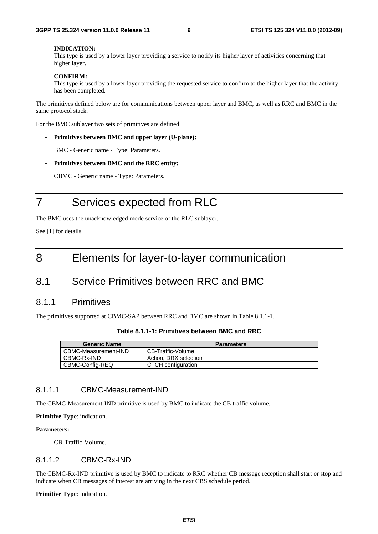#### **- INDICATION:**

This type is used by a lower layer providing a service to notify its higher layer of activities concerning that higher layer.

**- CONFIRM:** 

This type is used by a lower layer providing the requested service to confirm to the higher layer that the activity has been completed.

The primitives defined below are for communications between upper layer and BMC, as well as RRC and BMC in the same protocol stack.

For the BMC sublayer two sets of primitives are defined.

**- Primitives between BMC and upper layer (U-plane):** 

BMC - Generic name - Type: Parameters.

**- Primitives between BMC and the RRC entity:** 

CBMC - Generic name - Type: Parameters.

# 7 Services expected from RLC

The BMC uses the unacknowledged mode service of the RLC sublayer.

See [1] for details.

### 8 Elements for layer-to-layer communication

### 8.1 Service Primitives between RRC and BMC

#### 8.1.1 Primitives

The primitives supported at CBMC-SAP between RRC and BMC are shown in Table 8.1.1-1.

| <b>Generic Name</b>  | <b>Parameters</b>     |
|----------------------|-----------------------|
| CBMC-Measurement-IND | CB-Traffic-Volume     |
| CBMC-Rx-IND          | Action, DRX selection |
| CBMC-Config-REQ      | CTCH configuration    |

#### 8.1.1.1 CBMC-Measurement-IND

The CBMC-Measurement-IND primitive is used by BMC to indicate the CB traffic volume.

**Primitive Type**: indication.

#### **Parameters:**

CB-Traffic-Volume.

#### 8.1.1.2 CBMC-Rx-IND

The CBMC-Rx-IND primitive is used by BMC to indicate to RRC whether CB message reception shall start or stop and indicate when CB messages of interest are arriving in the next CBS schedule period.

**Primitive Type**: indication.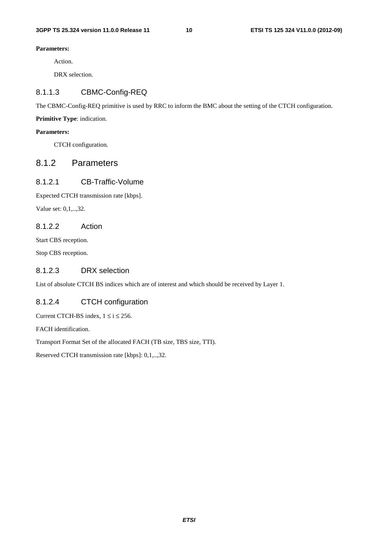#### **Parameters:**

Action.

DRX selection.

#### 8.1.1.3 CBMC-Config-REQ

The CBMC-Config-REQ primitive is used by RRC to inform the BMC about the setting of the CTCH configuration.

**Primitive Type**: indication.

#### **Parameters:**

CTCH configuration.

#### 8.1.2 Parameters

#### 8.1.2.1 CB-Traffic-Volume

Expected CTCH transmission rate [kbps].

Value set: 0,1,..,32.

#### 8.1.2.2 Action

Start CBS reception.

Stop CBS reception.

#### 8.1.2.3 DRX selection

List of absolute CTCH BS indices which are of interest and which should be received by Layer 1.

#### 8.1.2.4 CTCH configuration

Current CTCH-BS index,  $1 \le i \le 256$ .

FACH identification.

Transport Format Set of the allocated FACH (TB size, TBS size, TTI).

Reserved CTCH transmission rate [kbps]: 0,1,..,32.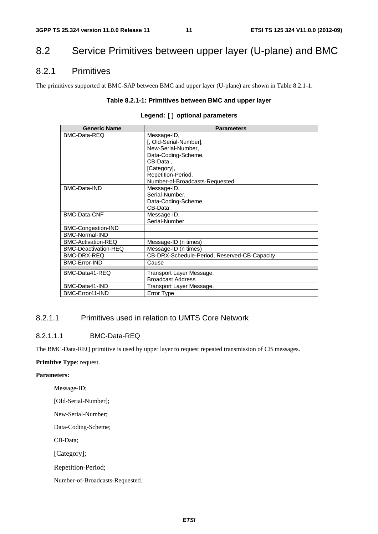### 8.2 Service Primitives between upper layer (U-plane) and BMC

#### 8.2.1 Primitives

The primitives supported at BMC-SAP between BMC and upper layer (U-plane) are shown in Table 8.2.1-1.

#### **Table 8.2.1-1: Primitives between BMC and upper layer**

|  |  |  | Legend: [] optional parameters |
|--|--|--|--------------------------------|
|--|--|--|--------------------------------|

| <b>Generic Name</b>         | <b>Parameters</b>                            |  |  |  |  |  |
|-----------------------------|----------------------------------------------|--|--|--|--|--|
| BMC-Data-REQ                | Message-ID,                                  |  |  |  |  |  |
|                             | [, Old-Serial-Number],                       |  |  |  |  |  |
|                             | New-Serial-Number.                           |  |  |  |  |  |
|                             | Data-Coding-Scheme,                          |  |  |  |  |  |
|                             | CB-Data.                                     |  |  |  |  |  |
|                             | [Category],                                  |  |  |  |  |  |
|                             | Repetition-Period,                           |  |  |  |  |  |
|                             | Number-of-Broadcasts-Requested               |  |  |  |  |  |
| <b>BMC-Data-IND</b>         | Message-ID,                                  |  |  |  |  |  |
|                             | Serial-Number,                               |  |  |  |  |  |
|                             | Data-Coding-Scheme,                          |  |  |  |  |  |
|                             | CB-Data                                      |  |  |  |  |  |
| <b>BMC-Data-CNF</b>         | Message-ID,                                  |  |  |  |  |  |
|                             | Serial-Number                                |  |  |  |  |  |
| BMC-Congestion-IND          |                                              |  |  |  |  |  |
| <b>BMC-Normal-IND</b>       |                                              |  |  |  |  |  |
| <b>BMC-Activation-REQ</b>   | Message-ID (n times)                         |  |  |  |  |  |
| <b>BMC-Deactivation-REQ</b> | Message-ID (n times)                         |  |  |  |  |  |
| BMC-DRX-REQ                 | CB-DRX-Schedule-Period, Reserved-CB-Capacity |  |  |  |  |  |
| <b>BMC-Error-IND</b>        | Cause                                        |  |  |  |  |  |
| BMC-Data41-REQ              | Transport Layer Message,                     |  |  |  |  |  |
|                             | <b>Broadcast Address</b>                     |  |  |  |  |  |
| BMC-Data41-IND              | Transport Layer Message,                     |  |  |  |  |  |
| BMC-Error41-IND             | Error Type                                   |  |  |  |  |  |
|                             |                                              |  |  |  |  |  |

#### 8.2.1.1 Primitives used in relation to UMTS Core Network

#### 8.2.1.1.1 BMC-Data-REQ

The BMC-Data-REQ primitive is used by upper layer to request repeated transmission of CB messages.

#### **Primitive Type**: request.

#### **Parameters:**

Message-ID;

[Old-Serial-Number];

New-Serial-Number;

Data-Coding-Scheme;

CB-Data;

[Category];

Repetition-Period;

Number-of-Broadcasts-Requested.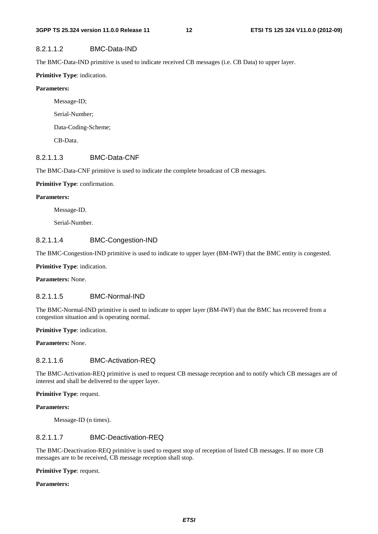#### 8.2.1.1.2 BMC-Data-IND

The BMC-Data-IND primitive is used to indicate received CB messages (i.e. CB Data) to upper layer.

#### **Primitive Type**: indication.

#### **Parameters:**

 Message-ID; Serial-Number; Data-Coding-Scheme; CB-Data.

#### 8.2.1.1.3 BMC-Data-CNF

The BMC-Data-CNF primitive is used to indicate the complete broadcast of CB messages.

#### **Primitive Type**: confirmation.

#### **Parameters:**

Message-ID.

Serial-Number.

#### 8.2.1.1.4 BMC-Congestion-IND

The BMC-Congestion-IND primitive is used to indicate to upper layer (BM-IWF) that the BMC entity is congested.

**Primitive Type**: indication.

**Parameters:** None.

#### 8.2.1.1.5 BMC-Normal-IND

The BMC-Normal-IND primitive is used to indicate to upper layer (BM-IWF) that the BMC has recovered from a congestion situation and is operating normal.

**Primitive Type**: indication.

**Parameters:** None.

#### 8.2.1.1.6 BMC-Activation-REQ

The BMC-Activation-REQ primitive is used to request CB message reception and to notify which CB messages are of interest and shall be delivered to the upper layer.

#### **Primitive Type**: request.

#### **Parameters:**

Message-ID (n times).

#### 8.2.1.1.7 BMC-Deactivation-REQ

The BMC-Deactivation-REQ primitive is used to request stop of reception of listed CB messages. If no more CB messages are to be received, CB message reception shall stop.

**Primitive Type**: request.

#### **Parameters:**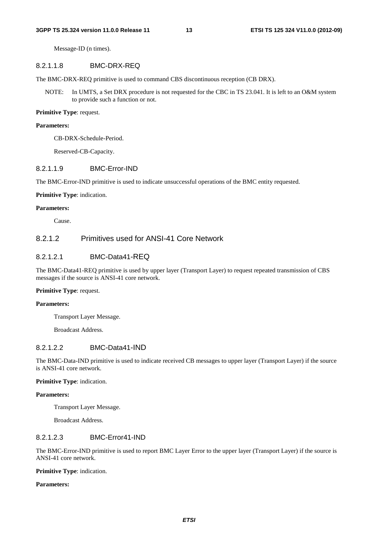Message-ID (n times).

#### 8.2.1.1.8 BMC-DRX-REQ

The BMC-DRX-REQ primitive is used to command CBS discontinuous reception (CB DRX).

NOTE: In UMTS, a Set DRX procedure is not requested for the CBC in TS 23.041. It is left to an O&M system to provide such a function or not.

#### **Primitive Type**: request.

#### **Parameters:**

CB-DRX-Schedule-Period.

Reserved-CB-Capacity.

#### 8.2.1.1.9 BMC-Error-IND

The BMC-Error-IND primitive is used to indicate unsuccessful operations of the BMC entity requested.

#### **Primitive Type**: indication.

#### **Parameters:**

Cause.

#### 8.2.1.2 Primitives used for ANSI-41 Core Network

#### 8.2.1.2.1 BMC-Data41-RFQ

The BMC-Data41-REQ primitive is used by upper layer (Transport Layer) to request repeated transmission of CBS messages if the source is ANSI-41 core network.

#### **Primitive Type**: request.

#### **Parameters:**

Transport Layer Message.

Broadcast Address.

#### 8.2.1.2.2 BMC-Data41-IND

The BMC-Data-IND primitive is used to indicate received CB messages to upper layer (Transport Layer) if the source is ANSI-41 core network.

#### **Primitive Type**: indication.

#### **Parameters:**

Transport Layer Message.

Broadcast Address.

#### 8.2.1.2.3 BMC-Error41-IND

The BMC-Error-IND primitive is used to report BMC Layer Error to the upper layer (Transport Layer) if the source is ANSI-41 core network.

**Primitive Type**: indication.

#### **Parameters:**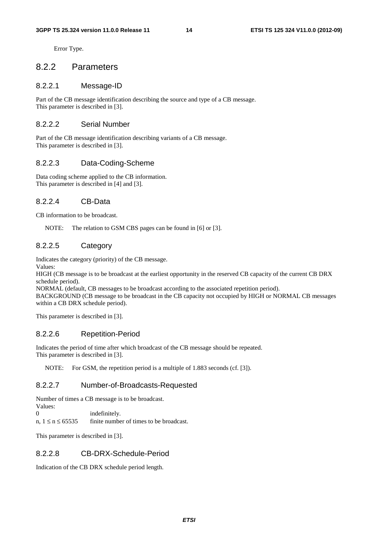Error Type.

#### 8.2.2 Parameters

#### 8.2.2.1 Message-ID

Part of the CB message identification describing the source and type of a CB message. This parameter is described in [3].

#### 8.2.2.2 Serial Number

Part of the CB message identification describing variants of a CB message. This parameter is described in [3].

#### 8.2.2.3 Data-Coding-Scheme

Data coding scheme applied to the CB information. This parameter is described in [4] and [3].

#### 8.2.2.4 CB-Data

CB information to be broadcast.

NOTE: The relation to GSM CBS pages can be found in [6] or [3].

#### 8.2.2.5 Category

Indicates the category (priority) of the CB message.

Values:

HIGH (CB message is to be broadcast at the earliest opportunity in the reserved CB capacity of the current CB DRX schedule period).

NORMAL (default, CB messages to be broadcast according to the associated repetition period).

BACKGROUND (CB message to be broadcast in the CB capacity not occupied by HIGH or NORMAL CB messages within a CB DRX schedule period).

This parameter is described in [3].

#### 8.2.2.6 Repetition-Period

Indicates the period of time after which broadcast of the CB message should be repeated. This parameter is described in [3].

NOTE: For GSM, the repetition period is a multiple of 1.883 seconds (cf. [3]).

#### 8.2.2.7 Number-of-Broadcasts-Requested

Number of times a CB message is to be broadcast.

Values:<br>0 indefinitely.

n,  $1 \le n \le 65535$  finite number of times to be broadcast.

This parameter is described in [3].

#### 8.2.2.8 CB-DRX-Schedule-Period

Indication of the CB DRX schedule period length.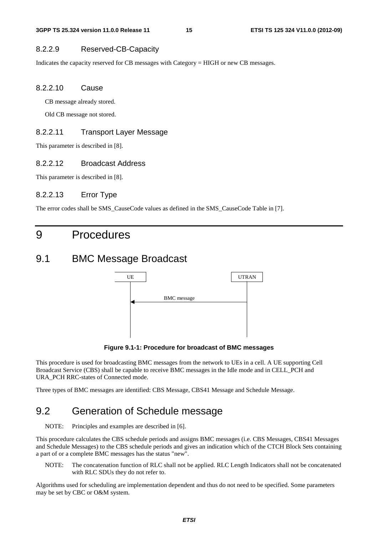#### 8.2.2.9 Reserved-CB-Capacity

Indicates the capacity reserved for CB messages with Category = HIGH or new CB messages.

#### 8.2.2.10 Cause

CB message already stored.

Old CB message not stored.

#### 8.2.2.11 Transport Layer Message

This parameter is described in [8].

#### 8.2.2.12 Broadcast Address

This parameter is described in [8].

#### 8.2.2.13 Error Type

The error codes shall be SMS\_CauseCode values as defined in the SMS\_CauseCode Table in [7].

# 9 Procedures

### 9.1 BMC Message Broadcast



**Figure 9.1-1: Procedure for broadcast of BMC messages** 

This procedure is used for broadcasting BMC messages from the network to UEs in a cell. A UE supporting Cell Broadcast Service (CBS) shall be capable to receive BMC messages in the Idle mode and in CELL\_PCH and URA\_PCH RRC-states of Connected mode.

Three types of BMC messages are identified: CBS Message, CBS41 Message and Schedule Message.

### 9.2 Generation of Schedule message

NOTE: Principles and examples are described in [6].

This procedure calculates the CBS schedule periods and assigns BMC messages (i.e. CBS Messages, CBS41 Messages and Schedule Messages) to the CBS schedule periods and gives an indication which of the CTCH Block Sets containing a part of or a complete BMC messages has the status "new".

NOTE: The concatenation function of RLC shall not be applied. RLC Length Indicators shall not be concatenated with RLC SDUs they do not refer to.

Algorithms used for scheduling are implementation dependent and thus do not need to be specified. Some parameters may be set by CBC or O&M system.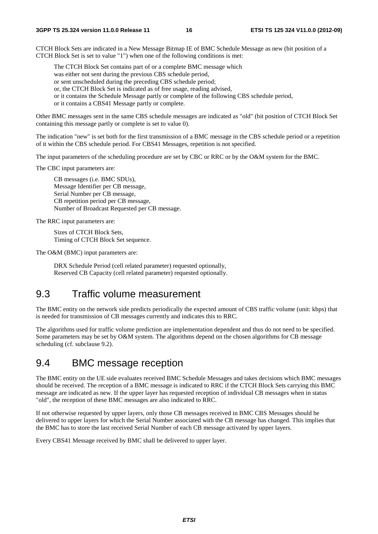CTCH Block Sets are indicated in a New Message Bitmap IE of BMC Schedule Message as new (bit position of a CTCH Block Set is set to value "1") when one of the following conditions is met:

The CTCH Block Set contains part of or a complete BMC message which

was either not sent during the previous CBS schedule period,

or sent unscheduled during the preceding CBS schedule period;

or, the CTCH Block Set is indicated as of free usage, reading advised,

- or it contains the Schedule Message partly or complete of the following CBS schedule period,
- or it contains a CBS41 Message partly or complete.

Other BMC messages sent in the same CBS schedule messages are indicated as "old" (bit position of CTCH Block Set containing this message partly or complete is set to value 0).

The indication "new" is set both for the first transmission of a BMC message in the CBS schedule period or a repetition of it within the CBS schedule period. For CBS41 Messages, repetition is not specified.

The input parameters of the scheduling procedure are set by CBC or RRC or by the O&M system for the BMC.

The CBC input parameters are:

 CB messages (i.e. BMC SDUs), Message Identifier per CB message, Serial Number per CB message, CB repetition period per CB message, Number of Broadcast Requested per CB message.

The RRC input parameters are:

 Sizes of CTCH Block Sets, Timing of CTCH Block Set sequence.

The O&M (BMC) input parameters are:

 DRX Schedule Period (cell related parameter) requested optionally, Reserved CB Capacity (cell related parameter) requested optionally.

### 9.3 Traffic volume measurement

The BMC entity on the network side predicts periodically the expected amount of CBS traffic volume (unit: kbps) that is needed for transmission of CB messages currently and indicates this to RRC.

The algorithms used for traffic volume prediction are implementation dependent and thus do not need to be specified. Some parameters may be set by O&M system. The algorithms depend on the chosen algorithms for CB message scheduling (cf. subclause 9.2).

### 9.4 BMC message reception

The BMC entity on the UE side evaluates received BMC Schedule Messages and takes decisions which BMC messages should be received. The reception of a BMC message is indicated to RRC if the CTCH Block Sets carrying this BMC message are indicated as new. If the upper layer has requested reception of individual CB messages when in status "old", the reception of these BMC messages are also indicated to RRC.

If not otherwise requested by upper layers, only those CB messages received in BMC CBS Messages should be delivered to upper layers for which the Serial Number associated with the CB message has changed. This implies that the BMC has to store the last received Serial Number of each CB message activated by upper layers.

Every CBS41 Message received by BMC shall be delivered to upper layer.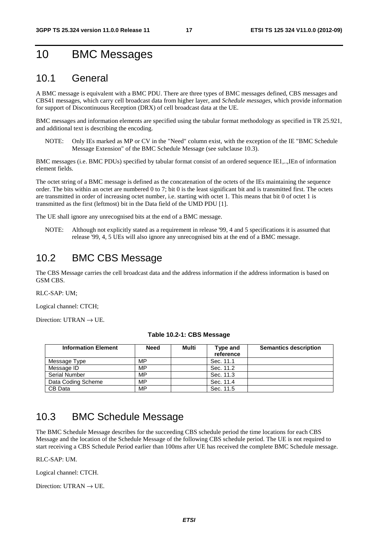# 10 BMC Messages

### 10.1 General

A BMC message is equivalent with a BMC PDU. There are three types of BMC messages defined, CBS messages and CBS41 messages, which carry cell broadcast data from higher layer, and *Schedule messages*, which provide information for support of Discontinuous Reception (DRX) of cell broadcast data at the UE.

BMC messages and information elements are specified using the tabular format methodology as specified in TR 25.921, and additional text is describing the encoding.

NOTE: Only IEs marked as MP or CV in the "Need" column exist, with the exception of the IE "BMC Schedule Message Extension" of the BMC Schedule Message (see subclause 10.3).

BMC messages (i.e. BMC PDUs) specified by tabular format consist of an ordered sequence IE1,..,IEn of information element fields.

The octet string of a BMC message is defined as the concatenation of the octets of the IEs maintaining the sequence order. The bits within an octet are numbered 0 to 7; bit 0 is the least significant bit and is transmitted first. The octets are transmitted in order of increasing octet number, i.e. starting with octet 1. This means that bit 0 of octet 1 is transmitted as the first (leftmost) bit in the Data field of the UMD PDU [1].

The UE shall ignore any unrecognised bits at the end of a BMC message.

NOTE: Although not explicitly stated as a requirement in release '99, 4 and 5 specifications it is assumed that release '99, 4, 5 UEs will also ignore any unrecognised bits at the end of a BMC message.

### 10.2 BMC CBS Message

The CBS Message carries the cell broadcast data and the address information if the address information is based on GSM CBS.

RLC-SAP: UM;

Logical channel: CTCH;

Direction: UTRAN  $\rightarrow$  UE.

| <b>Information Element</b> | <b>Need</b> | Multi | Type and<br>reference | <b>Semantics description</b> |
|----------------------------|-------------|-------|-----------------------|------------------------------|
| Message Type               | MP          |       | Sec. 11.1             |                              |
| Message ID                 | MP          |       | Sec. 11.2             |                              |
| <b>Serial Number</b>       | MP          |       | Sec. 11.3             |                              |
| Data Coding Scheme         | MP          |       | Sec. 11.4             |                              |
| CB Data                    | MP          |       | Sec. 11.5             |                              |

#### **Table 10.2-1: CBS Message**

### 10.3 BMC Schedule Message

The BMC Schedule Message describes for the succeeding CBS schedule period the time locations for each CBS Message and the location of the Schedule Message of the following CBS schedule period. The UE is not required to start receiving a CBS Schedule Period earlier than 100ms after UE has received the complete BMC Schedule message.

#### RLC-SAP: UM.

Logical channel: CTCH.

Direction: UTRAN  $\rightarrow$  UE.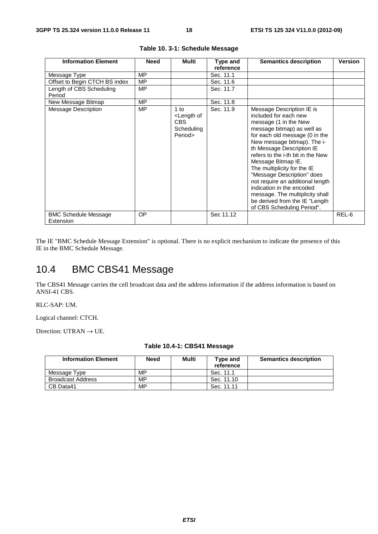| <b>Information Element</b>               | <b>Need</b> | Multi                                                                 | Type and<br>reference | <b>Semantics description</b>                                                                                                                                                                                                                                                                                                                                                                                                                                                                         | Version |
|------------------------------------------|-------------|-----------------------------------------------------------------------|-----------------------|------------------------------------------------------------------------------------------------------------------------------------------------------------------------------------------------------------------------------------------------------------------------------------------------------------------------------------------------------------------------------------------------------------------------------------------------------------------------------------------------------|---------|
| Message Type                             | MP          |                                                                       | Sec. 11.1             |                                                                                                                                                                                                                                                                                                                                                                                                                                                                                                      |         |
| Offset to Begin CTCH BS index            | MP          |                                                                       | Sec. 11.6             |                                                                                                                                                                                                                                                                                                                                                                                                                                                                                                      |         |
| Length of CBS Scheduling<br>Period       | MP.         |                                                                       | Sec. 11.7             |                                                                                                                                                                                                                                                                                                                                                                                                                                                                                                      |         |
| New Message Bitmap                       | <b>MP</b>   |                                                                       | Sec. 11.8             |                                                                                                                                                                                                                                                                                                                                                                                                                                                                                                      |         |
| <b>Message Description</b>               | <b>MP</b>   | $1$ to<br><length of<br="">CBS<br/>Scheduling<br/>Period&gt;</length> | Sec. 11.9             | Message Description IE is<br>included for each new<br>message (1 in the New<br>message bitmap) as well as<br>for each old message (0 in the<br>New message bitmap). The i-<br>th Message Description IE<br>refers to the i-th bit in the New<br>Message Bitmap IE.<br>The multiplicity for the IE<br>"Message Description" does<br>not require an additional length<br>indication in the encoded<br>message. The multiplicity shall<br>be derived from the IE "Length"<br>of CBS Scheduling Period". |         |
| <b>BMC Schedule Message</b><br>Extension | OP          |                                                                       | Sec 11.12             |                                                                                                                                                                                                                                                                                                                                                                                                                                                                                                      | REL-6   |

|  |  | Table 10. 3-1: Schedule Message |  |
|--|--|---------------------------------|--|
|--|--|---------------------------------|--|

The IE "BMC Schedule Message Extension" is optional. There is no explicit mechanism to indicate the presence of this IE in the BMC Schedule Message.

### 10.4 BMC CBS41 Message

The CBS41 Message carries the cell broadcast data and the address information if the address information is based on ANSI-41 CBS.

#### RLC-SAP: UM.

Logical channel: CTCH.

Direction: UTRAN  $\rightarrow$  UE.

| <b>Information Element</b> | Need | Multi | Type and<br>reference | <b>Semantics description</b> |
|----------------------------|------|-------|-----------------------|------------------------------|
| Message Type               | MP   |       | Sec. 11.1             |                              |
| <b>Broadcast Address</b>   | MP   |       | Sec. 11.10            |                              |
| CB Data41                  | МP   |       | Sec. 11.11            |                              |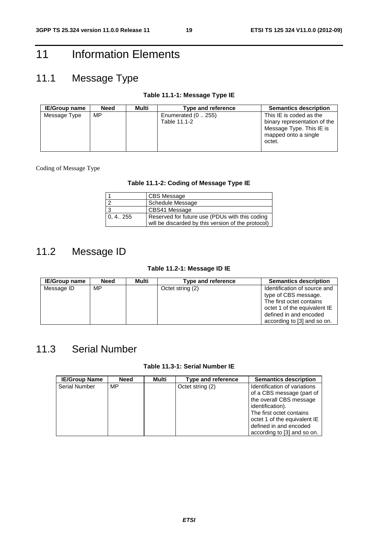# 11 Information Elements

# 11.1 Message Type

#### **Table 11.1-1: Message Type IE**

| <b>IE/Group name</b> | Need | Multi | Type and reference                  | <b>Semantics description</b>                               |
|----------------------|------|-------|-------------------------------------|------------------------------------------------------------|
| Message Type         | MP   |       | Enumerated $(0255)$<br>Table 11.1-2 | This IE is coded as the<br>binary representation of the    |
|                      |      |       |                                     | Message Type. This IE is<br>mapped onto a single<br>octet. |

#### Coding of Message Type

#### **Table 11.1-2: Coding of Message Type IE**

|            | CBS Message                                                                                          |
|------------|------------------------------------------------------------------------------------------------------|
| $\sqrt{2}$ | <b>Schedule Message</b>                                                                              |
| 3          | CBS41 Message                                                                                        |
| 0, 4 255   | Reserved for future use (PDUs with this coding<br>will be discarded by this version of the protocol) |

### 11.2 Message ID

#### **Table 11.2-1: Message ID IE**

| <b>IE/Group name</b> | <b>Need</b> | Multi | Type and reference | <b>Semantics description</b> |
|----------------------|-------------|-------|--------------------|------------------------------|
| Message ID           | MP          |       | Octet string (2)   | Identification of source and |
|                      |             |       |                    | type of CBS message.         |
|                      |             |       |                    | The first octet contains     |
|                      |             |       |                    | octet 1 of the equivalent IE |
|                      |             |       |                    | defined in and encoded       |
|                      |             |       |                    | according to [3] and so on.  |

### 11.3 Serial Number

#### **Table 11.3-1: Serial Number IE**

| <b>IE/Group Name</b> | <b>Need</b> | Multi | Type and reference | <b>Semantics description</b>                                                                                                                                                                                                  |
|----------------------|-------------|-------|--------------------|-------------------------------------------------------------------------------------------------------------------------------------------------------------------------------------------------------------------------------|
| <b>Serial Number</b> | MP          |       | Octet string (2)   | Identification of variations<br>of a CBS message (part of<br>the overall CBS message<br>identification).<br>The first octet contains<br>octet 1 of the equivalent IE<br>defined in and encoded<br>according to [3] and so on. |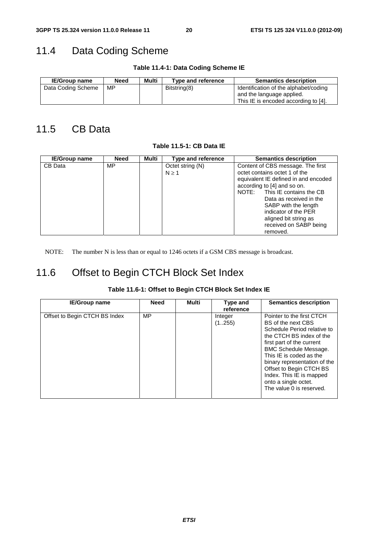# 11.4 Data Coding Scheme

**Table 11.4-1: Data Coding Scheme IE** 

| <b>IE/Group name</b> | Need | Multi | Type and reference | <b>Semantics description</b>                                                                               |
|----------------------|------|-------|--------------------|------------------------------------------------------------------------------------------------------------|
| Data Coding Scheme   | MP   |       | Bitstring(8)       | Identification of the alphabet/coding<br>and the language applied.<br>This IE is encoded according to [4]. |

### 11.5 CB Data

**Table 11.5-1: CB Data IE** 

| <b>IE/Group name</b> | Need | Multi | Type and reference             | <b>Semantics description</b>                                                                                                                                                                          |
|----------------------|------|-------|--------------------------------|-------------------------------------------------------------------------------------------------------------------------------------------------------------------------------------------------------|
| CB Data              | MP   |       | Octet string (N)<br>$N \geq 1$ | Content of CBS message. The first<br>octet contains octet 1 of the<br>equivalent IE defined in and encoded<br>according to [4] and so on.<br>NOTE: This IE contains the CB<br>Data as received in the |
|                      |      |       |                                | SABP with the length<br>indicator of the PER<br>aligned bit string as<br>received on SABP being<br>removed.                                                                                           |

NOTE: The number N is less than or equal to 1246 octets if a GSM CBS message is broadcast.

### 11.6 Offset to Begin CTCH Block Set Index

| <b>IE/Group name</b>          | <b>Need</b> | Multi | Type and<br>reference | <b>Semantics description</b>                                                                                                                                                                                                                                                                                                                  |
|-------------------------------|-------------|-------|-----------------------|-----------------------------------------------------------------------------------------------------------------------------------------------------------------------------------------------------------------------------------------------------------------------------------------------------------------------------------------------|
| Offset to Begin CTCH BS Index | MP          |       | Integer<br>(1255)     | Pointer to the first CTCH<br>BS of the next CBS<br>Schedule Period relative to<br>the CTCH BS index of the<br>first part of the current<br><b>BMC Schedule Message.</b><br>This IE is coded as the<br>binary representation of the<br>Offset to Begin CTCH BS<br>Index. This IE is mapped<br>onto a single octet.<br>The value 0 is reserved. |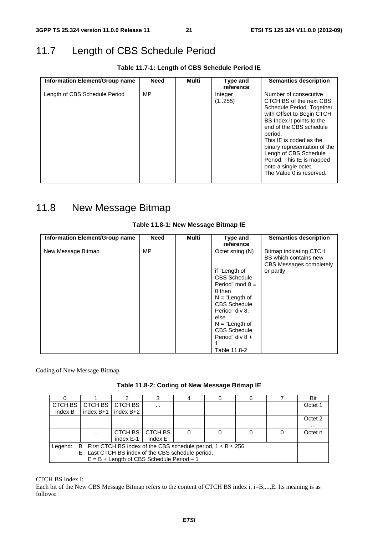# 11.7 Length of CBS Schedule Period

**Table 11.7-1: Length of CBS Schedule Period IE** 

| Information Element/Group name | <b>Need</b> | Multi | Type and<br>reference | <b>Semantics description</b>                                                                                                                                                                                                                                                                                                                       |
|--------------------------------|-------------|-------|-----------------------|----------------------------------------------------------------------------------------------------------------------------------------------------------------------------------------------------------------------------------------------------------------------------------------------------------------------------------------------------|
| Length of CBS Schedule Period  | MP          |       | Integer<br>(1255)     | Number of consecutive<br>CTCH BS of the next CBS<br>Schedule Period. Together<br>with Offset to Begin CTCH<br>BS Index it points to the<br>end of the CBS schedule<br>period.<br>This IE is coded as the<br>binary representation of the<br>Lengh of CBS Schedule<br>Period. This IE is mapped<br>onto a single octet.<br>The Value 0 is reserved. |
|                                |             |       |                       |                                                                                                                                                                                                                                                                                                                                                    |

# 11.8 New Message Bitmap

| Information Element/Group name | <b>Need</b> | Multi | Type and            | <b>Semantics description</b>                                               |
|--------------------------------|-------------|-------|---------------------|----------------------------------------------------------------------------|
|                                |             |       | reference           |                                                                            |
| New Message Bitmap             | MP          |       | Octet string (N)    | Bitmap indicating CTCH<br>BS which contains new<br>CBS Messages completely |
|                                |             |       | if "Length of       | or partly                                                                  |
|                                |             |       | <b>CBS Schedule</b> |                                                                            |
|                                |             |       | Period" mod $8 =$   |                                                                            |
|                                |             |       | 0 then              |                                                                            |
|                                |             |       | $N = "Length of$    |                                                                            |
|                                |             |       | <b>CBS Schedule</b> |                                                                            |
|                                |             |       | Period" div 8,      |                                                                            |
|                                |             |       | else                |                                                                            |
|                                |             |       | $N = "Length of$    |                                                                            |
|                                |             |       | <b>CBS Schedule</b> |                                                                            |
|                                |             |       | Period" div 8 +     |                                                                            |
|                                |             |       | 1.                  |                                                                            |
|                                |             |       | Table 11.8-2        |                                                                            |

#### **Table 11.8-1: New Message Bitmap IE**

Coding of New Message Bitmap.

|                                                                                |             |                                             |           |  | 5 | 6 |  | Bit      |
|--------------------------------------------------------------------------------|-------------|---------------------------------------------|-----------|--|---|---|--|----------|
| CTCH BS                                                                        | CTCH BS     | CTCH BS                                     | $\cdots$  |  |   |   |  | Octet 1  |
| index B                                                                        | index $B+1$ | index B+2                                   |           |  |   |   |  |          |
|                                                                                |             |                                             |           |  |   |   |  | Octet 2  |
|                                                                                |             |                                             |           |  |   |   |  | $\cdots$ |
|                                                                                | $\cdots$    | CTCH BS                                     | l CTCH BS |  |   |   |  | Octet n  |
|                                                                                |             | index E-1                                   | index E   |  |   |   |  |          |
| B First CTCH BS index of the CBS schedule period, $1 \le B \le 256$<br>Legend: |             |                                             |           |  |   |   |  |          |
| E Last CTCH BS index of the CBS schedule period,                               |             |                                             |           |  |   |   |  |          |
|                                                                                |             | $E = B + Length$ of CBS Schedule Period - 1 |           |  |   |   |  |          |

CTCH BS Index i:

Each bit of the New CBS Message Bitmap refers to the content of CTCH BS index i, i=B,...,E. Its meaning is as follows: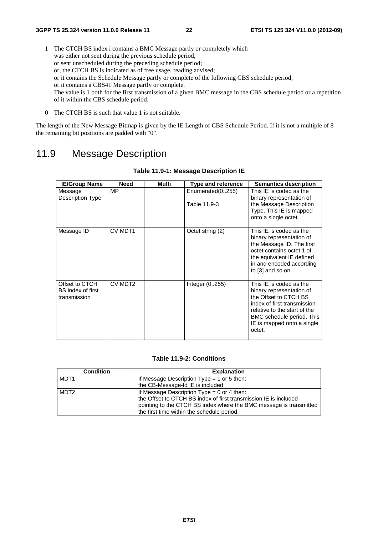- 1 The CTCH BS index i contains a BMC Message partly or completely which was either not sent during the previous schedule period, or sent unscheduled during the preceding schedule period; or, the CTCH BS is indicated as of free usage, reading advised; or it contains the Schedule Message partly or complete of the following CBS schedule period, or it contains a CBS41 Message partly or complete. The value is 1 both for the first transmission of a given BMC message in the CBS schedule period or a repetition of it within the CBS schedule period.
- 0 The CTCH BS is such that value 1 is not suitable.

The length of the New Message Bitmap is given by the IE Length of CBS Schedule Period. If it is not a multiple of 8 the remaining bit positions are padded with "0".

### 11.9 Message Description

| <b>IE/Group Name</b>                                | <b>Need</b>         | Multi | <b>Type and reference</b>        | <b>Semantics description</b>                                                                                                                                                                                     |
|-----------------------------------------------------|---------------------|-------|----------------------------------|------------------------------------------------------------------------------------------------------------------------------------------------------------------------------------------------------------------|
| Message<br>Description Type                         | <b>MP</b>           |       | Enumerated(0255)<br>Table 11.9-3 | This IE is coded as the<br>binary representation of<br>the Message Description<br>Type. This IE is mapped<br>onto a single octet.                                                                                |
| Message ID                                          | CV MDT1             |       | Octet string (2)                 | This IE is coded as the<br>binary representation of<br>the Message ID. The first<br>octet contains octet 1 of<br>the equivalent IE defined<br>in and encoded according<br>to [3] and so on.                      |
| Offset to CTCH<br>BS index of first<br>transmission | CV MDT <sub>2</sub> |       | Integer $(0.255)$                | This IE is coded as the<br>binary representation of<br>the Offset to CTCH BS<br>index of first transmission<br>relative to the start of the<br>BMC schedule period. This<br>IE is mapped onto a single<br>octet. |

#### **Table 11.9-1: Message Description IE**

#### **Table 11.9-2: Conditions**

| <b>Condition</b> | <b>Explanation</b>                                                 |
|------------------|--------------------------------------------------------------------|
| MDT <sub>1</sub> | If Message Description Type = 1 or 5 then:                         |
|                  | the CB-Message-Id IE is included                                   |
| MDT <sub>2</sub> | If Message Description Type = $0$ or 4 then:                       |
|                  | the Offset to CTCH BS index of first transmission IE is included   |
|                  | pointing to the CTCH BS index where the BMC message is transmitted |
|                  | the first time within the schedule period.                         |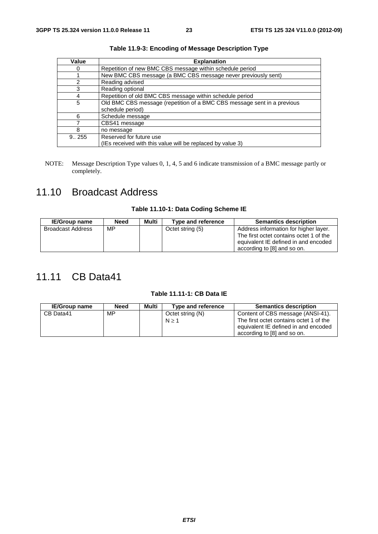| Value  | <b>Explanation</b>                                                      |
|--------|-------------------------------------------------------------------------|
|        | Repetition of new BMC CBS message within schedule period                |
|        | New BMC CBS message (a BMC CBS message never previously sent)           |
| 2      | Reading advised                                                         |
| 3      | Reading optional                                                        |
| 4      | Repetition of old BMC CBS message within schedule period                |
| 5      | Old BMC CBS message (repetition of a BMC CBS message sent in a previous |
|        | schedule period)                                                        |
| 6      | Schedule message                                                        |
|        | CBS41 message                                                           |
| 8      | no message                                                              |
| 9.0255 | Reserved for future use                                                 |
|        | (IEs received with this value will be replaced by value 3)              |

**Table 11.9-3: Encoding of Message Description Type** 

NOTE: Message Description Type values 0, 1, 4, 5 and 6 indicate transmission of a BMC message partly or completely.

# 11.10 Broadcast Address

#### **Table 11.10-1: Data Coding Scheme IE**

| <b>IE/Group name</b>     | <b>Need</b> | Multi | Type and reference | <b>Semantics description</b>                                                                                                                            |
|--------------------------|-------------|-------|--------------------|---------------------------------------------------------------------------------------------------------------------------------------------------------|
| <b>Broadcast Address</b> | MP          |       | Octet string (5)   | Address information for higher layer.<br>The first octet contains octet 1 of the<br>equivalent IE defined in and encoded<br>according to [8] and so on. |

# 11.11 CB Data41

#### **Table 11.11-1: CB Data IE**

| <b>IE/Group name</b> | <b>Need</b> | Multi | Type and reference        | <b>Semantics description</b>                                                                                                                        |
|----------------------|-------------|-------|---------------------------|-----------------------------------------------------------------------------------------------------------------------------------------------------|
| CB Data41            | MP.         |       | Octet string (N)<br>N > 1 | Content of CBS message (ANSI-41).<br>The first octet contains octet 1 of the<br>equivalent IE defined in and encoded<br>according to [8] and so on. |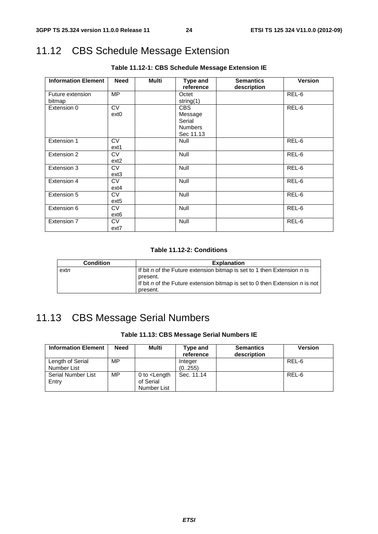# 11.12 CBS Schedule Message Extension

| <b>Information Element</b> | <b>Need</b>      | <b>Multi</b> | Type and       | <b>Semantics</b> | <b>Version</b> |
|----------------------------|------------------|--------------|----------------|------------------|----------------|
|                            |                  |              | reference      | description      |                |
| Future extension           | MP               |              | Octet          |                  | REL-6          |
| bitmap                     |                  |              | string(1)      |                  |                |
| Extension 0                | <b>CV</b>        |              | <b>CBS</b>     |                  | REL-6          |
|                            | ext <sub>0</sub> |              | Message        |                  |                |
|                            |                  |              | Serial         |                  |                |
|                            |                  |              | <b>Numbers</b> |                  |                |
|                            |                  |              | Sec 11.13      |                  |                |
| Extension 1                | <b>CV</b>        |              | <b>Null</b>    |                  | REL-6          |
|                            | ext1             |              |                |                  |                |
| Extension 2                | <b>CV</b>        |              | <b>Null</b>    |                  | REL-6          |
|                            | ext <sub>2</sub> |              |                |                  |                |
| Extension 3                | <b>CV</b>        |              | Null           |                  | REL-6          |
|                            | $ext{3}$         |              |                |                  |                |
| Extension 4                | <b>CV</b>        |              | Null           |                  | REL-6          |
|                            | $ext{4}$         |              |                |                  |                |
| Extension 5                | <b>CV</b>        |              | Null           |                  | REL-6          |
|                            | ext <sub>5</sub> |              |                |                  |                |
| Extension 6                | <b>CV</b>        |              | Null           |                  | REL-6          |
|                            | ext <sub>6</sub> |              |                |                  |                |
| Extension 7                | <b>CV</b>        |              | Null           |                  | REL-6          |
|                            | ext7             |              |                |                  |                |

**Table 11.12-1: CBS Schedule Message Extension IE** 

#### **Table 11.12-2: Conditions**

| <b>Condition</b> | <b>Explanation</b>                                                                        |
|------------------|-------------------------------------------------------------------------------------------|
| extn             | If bit n of the Future extension bitmap is set to 1 then Extension n is<br>present.       |
|                  | If bit n of the Future extension bitmap is set to 0 then Extension $n$ is not<br>present. |

# 11.13 CBS Message Serial Numbers

#### **Table 11.13: CBS Message Serial Numbers IE**

| <b>Information Element</b>      | <b>Need</b> | Multi                                              | Type and<br>reference | <b>Semantics</b><br>description | <b>Version</b> |
|---------------------------------|-------------|----------------------------------------------------|-----------------------|---------------------------------|----------------|
| Length of Serial<br>Number List | МP          |                                                    | Integer<br>(0255)     |                                 | REL-6          |
| Serial Number List<br>Entry     | MP          | 0 to $\epsilon$ Length<br>of Serial<br>Number List | Sec. 11.14            |                                 | REL-6          |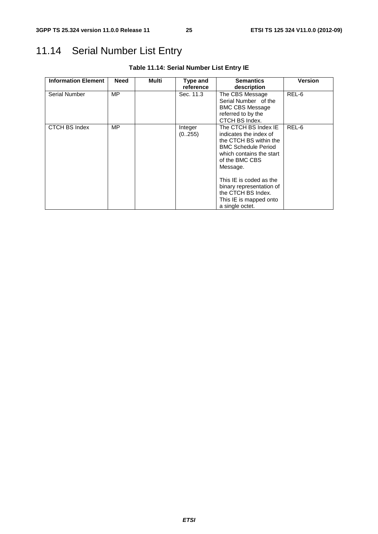# 11.14 Serial Number List Entry

| <b>Information Element</b> | Need | Multi | Type and          | <b>Semantics</b>                                                                                                                                                                                                                                                                           | <b>Version</b> |
|----------------------------|------|-------|-------------------|--------------------------------------------------------------------------------------------------------------------------------------------------------------------------------------------------------------------------------------------------------------------------------------------|----------------|
|                            |      |       | reference         | description                                                                                                                                                                                                                                                                                |                |
| <b>Serial Number</b>       | MP.  |       | Sec. 11.3         | The CBS Message<br>Serial Number of the<br><b>BMC CBS Message</b><br>referred to by the<br>CTCH BS Index.                                                                                                                                                                                  | REL-6          |
| CTCH BS Index              | MP   |       | Integer<br>(0255) | The CTCH BS Index IE<br>indicates the index of<br>the CTCH BS within the<br><b>BMC Schedule Period</b><br>which contains the start<br>of the BMC CBS<br>Message.<br>This IE is coded as the<br>binary representation of<br>the CTCH BS Index.<br>This IE is mapped onto<br>a single octet. | REL-6          |

**Table 11.14: Serial Number List Entry IE**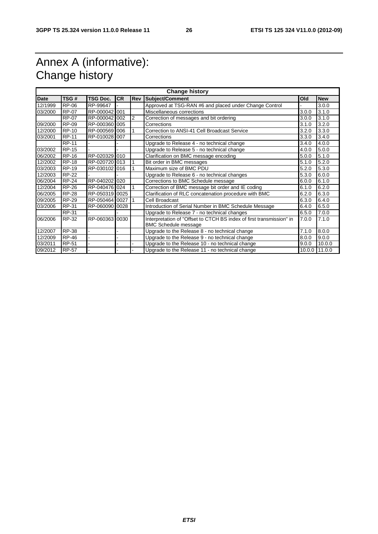# Annex A (informative): Change history

| <b>Change history</b> |              |                 |           |            |                                                                      |        |            |  |  |
|-----------------------|--------------|-----------------|-----------|------------|----------------------------------------------------------------------|--------|------------|--|--|
| <b>Date</b>           | TSG#         | <b>TSG Doc.</b> | <b>CR</b> | <b>Rev</b> | <b>Subject/Comment</b>                                               | Old    | <b>New</b> |  |  |
| 12/1999               | RP-06        | RP-99647        |           |            | Approved at TSG-RAN #6 and placed under Change Control               |        | 3.0.0      |  |  |
| 03/2000               | RP-07        | RP-000042 001   |           |            | Miscellaneous corrections                                            | 3.0.0  | 3.1.0      |  |  |
|                       | <b>RP-07</b> | RP-000042 002   |           | 2          | Correction of messages and bit ordering                              | 3.0.0  | 3.1.0      |  |  |
| 09/2000               | <b>RP-09</b> | RP-000360 005   |           |            | Corrections                                                          | 3.1.0  | 3.2.0      |  |  |
| 12/2000               | <b>RP-10</b> | RP-000569 006   |           |            | Correction to ANSI-41 Cell Broadcast Service                         | 3.2.0  | 3.3.0      |  |  |
| 03/2001               | <b>RP-11</b> | RP-010028 007   |           |            | Corrections                                                          | 3.3.0  | 3.4.0      |  |  |
|                       | RP-11        |                 |           |            | Upgrade to Release 4 - no technical change                           | 3.4.0  | 4.0.0      |  |  |
| 03/2002               | <b>RP-15</b> |                 |           |            | Upgrade to Release 5 - no technical change                           | 4.0.0  | 5.0.0      |  |  |
| 06/2002               | <b>RP-16</b> | RP-020329 010   |           |            | Clarification on BMC message encoding                                | 5.0.0  | 5.1.0      |  |  |
| 12/2002               | <b>RP-18</b> | RP-020720 013   |           |            | Bit order in BMC messages                                            | 5.1.0  | 5.2.0      |  |  |
| 03/2003               | <b>RP-19</b> | RP-030102 016   |           |            | Maximum size of BMC PDU                                              | 5.2.0  | 5.3.0      |  |  |
| 12/2003               | <b>RP-22</b> |                 |           |            | Upgrade to Release 6 - no technical changes                          | 5.3.0  | 6.0.0      |  |  |
| 06/2004               | <b>RP-24</b> | RP-040202 020   |           |            | Corrections to BMC Schedule message                                  | 6.0.0  | 6.1.0      |  |  |
| 12/2004               | <b>RP-26</b> | RP-040476 024   |           |            | Correction of BMC message bit order and IE coding                    | 6.1.0  | 6.2.0      |  |  |
| 06/2005               | <b>RP-28</b> | RP-050319 0025  |           |            | Clarification of RLC concatenation procedure with BMC                | 6.2.0  | 6.3.0      |  |  |
| 09/2005               | <b>RP-29</b> | RP-050464 0027  |           |            | Cell Broadcast                                                       | 6.3.0  | 6.4.0      |  |  |
| 03/2006               | <b>RP-31</b> | RP-060090 0028  |           |            | Introduction of Serial Number in BMC Schedule Message                | 6.4.0  | 6.5.0      |  |  |
|                       | <b>RP-31</b> |                 |           |            | Upgrade to Release 7 - no technical changes                          | 6.5.0  | 7.0.0      |  |  |
| 06/2006               | RP-32        | RP-060363 0030  |           |            | Interpretation of "Offset to CTCH BS index of first transmission" in | 7.0.0  | 7.1.0      |  |  |
|                       |              |                 |           |            | <b>BMC Schedule message</b>                                          |        |            |  |  |
| 12/2007               | <b>RP-38</b> |                 |           |            | Upgrade to the Release 8 - no technical change                       | 7.1.0  | 8.0.0      |  |  |
| 12/2009               | <b>RP-46</b> |                 |           |            | Upgrade to the Release 9 - no technical change                       | 8.0.0  | 9.0.0      |  |  |
| 03/2011               | <b>RP-51</b> |                 |           |            | Upgrade to the Release 10 - no technical change                      | 9.0.0  | 10.0.0     |  |  |
| 09/2012               | <b>RP-57</b> |                 |           |            | Upgrade to the Release 11 - no technical change                      | 10.0.0 | 11.0.0     |  |  |